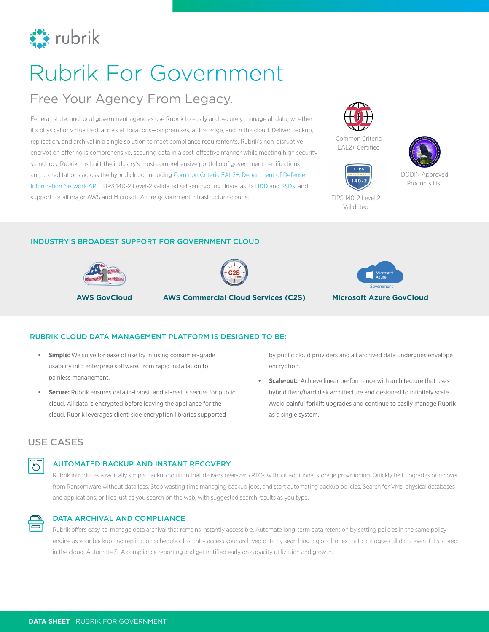

# Rubrik For Government

## Free Your Agency From Legacy.

Federal, state, and local government agencies use Rubrik to easily and securely manage all data, whether it's physical or virtualized, across all locations—on premises, at the edge, and in the cloud. Deliver backup, replication, and archival in a single solution to meet compliance requirements. Rubrik's non-disruptive encryption offering is comprehensive, securing data in a cost-effective manner while meeting high security standards. Rubrik has built the industry's most comprehensive portfolio of government certifications and accreditations across the hybrid cloud, including [Common Criteria EAL2+](https://www.commoncriteriaportal.org/files/epfiles/20181010%20Sertit-112%20CR%20v1_0Rubrik.pdf), [Department of Defense](https://aplits.disa.mil/processAPList.action)  [Information Network APL,](https://aplits.disa.mil/processAPList.action) FIPS 140-2 Level-2 validated self-encrypting drives as its [HDD](https://csrc.nist.gov/csrc/media/projects/cryptographic-module-validation-program/documents/security-policies/140sp2348.pdf) and [SSDs,](https://csrc.nist.gov/csrc/media/projects/cryptographic-module-validation-program/documents/security-policies/140sp2198.pdf) and support for all major AWS and Microsoft Azure government infrastructure clouds.



Common Criteria EAL2+ Certified





FIPS 140-2 Level 2 Validated

#### INDUSTRY'S BROADEST SUPPORT FOR GOVERNMENT CLOUD





**AWS GovCloud AWS Commercial Cloud Services (C2S) Microsoft Azure GovCloud**



#### RUBRIK CLOUD DATA MANAGEMENT PLATFORM IS DESIGNED TO BE:

- **• Simple:** We solve for ease of use by infusing consumer-grade usability into enterprise software, from rapid installation to painless management.
- **• Secure:** Rubrik ensures data in-transit and at-rest is secure for public cloud. All data is encrypted before leaving the appliance for the cloud. Rubrik leverages client-side encryption libraries supported

by public cloud providers and all archived data undergoes envelope encryption.

**• Scale-out:** Achieve linear performance with architecture that uses hybrid flash/hard disk architecture and designed to infinitely scale. Avoid painful forklift upgrades and continue to easily manage Rubrik as a single system.

### USE CASES



#### AUTOMATED BACKUP AND INSTANT RECOVERY

Rubrik introduces a radically simple backup solution that delivers near-zero RTOs without additional storage provisioning. Quickly test upgrades or recover from Ransomware without data loss. Stop wasting time managing backup jobs, and start automating backup policies. Search for VMs, physical databases and applications, or files just as you search on the web, with suggested search results as you type.



#### DATA ARCHIVAL AND COMPLIANCE

Rubrik offers easy-to-manage data archival that remains instantly accessible. Automate long-term data retention by setting policies in the same policy engine as your backup and replication schedules. Instantly access your archived data by searching a global index that catalogues all data, even if it's stored in the cloud. Automate SLA compliance reporting and get notified early on capacity utilization and growth.